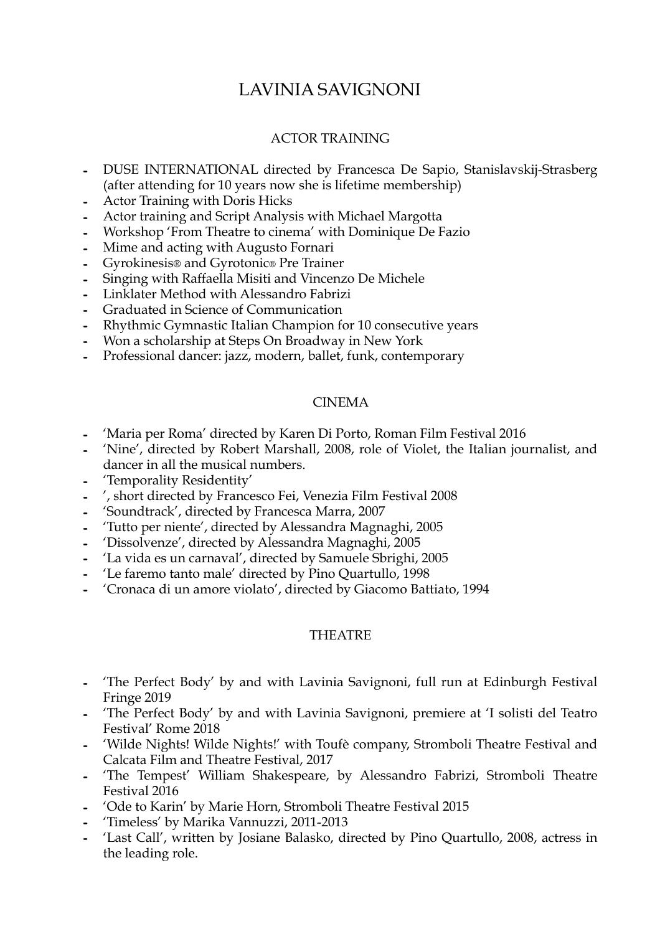# LAVINIA SAVIGNONI

# ACTOR TRAINING

- **-** DUSE INTERNATIONAL directed by Francesca De Sapio, Stanislavskij-Strasberg (after attending for 10 years now she is lifetime membership)
- **-** Actor Training with Doris Hicks
- **-** Actor training and Script Analysis with Michael Margotta
- **-** Workshop 'From Theatre to cinema' with Dominique De Fazio
- **-** Mime and acting with Augusto Fornari
- **-** Gyrokinesis® and Gyrotonic® Pre Trainer
- **-** Singing with Raffaella Misiti and Vincenzo De Michele
- **-** Linklater Method with Alessandro Fabrizi
- **-** Graduated in Science of Communication
- **-** Rhythmic Gymnastic Italian Champion for 10 consecutive years
- **-** Won a scholarship at Steps On Broadway in New York
- **-** Professional dancer: jazz, modern, ballet, funk, contemporary

### CINEMA

- **-** 'Maria per Roma' directed by Karen Di Porto, Roman Film Festival 2016
- **-** 'Nine', directed by Robert Marshall, 2008, role of Violet, the Italian journalist, and dancer in all the musical numbers.
- **-** 'Temporality Residentity'
- **-** ', short directed by Francesco Fei, Venezia Film Festival 2008
- **-** 'Soundtrack', directed by Francesca Marra, 2007
- **-** 'Tutto per niente', directed by Alessandra Magnaghi, 2005
- **-** 'Dissolvenze', directed by Alessandra Magnaghi, 2005
- **-** 'La vida es un carnaval', directed by Samuele Sbrighi, 2005
- **-** 'Le faremo tanto male' directed by Pino Quartullo, 1998
- **-** 'Cronaca di un amore violato', directed by Giacomo Battiato, 1994

## THEATRE

- **-** 'The Perfect Body' by and with Lavinia Savignoni, full run at Edinburgh Festival Fringe 2019
- **-** 'The Perfect Body' by and with Lavinia Savignoni, premiere at 'I solisti del Teatro Festival' Rome 2018
- **-** 'Wilde Nights! Wilde Nights!' with Toufè company, Stromboli Theatre Festival and Calcata Film and Theatre Festival, 2017
- **-** 'The Tempest' William Shakespeare, by Alessandro Fabrizi, Stromboli Theatre Festival 2016
- **-** 'Ode to Karin' by Marie Horn, Stromboli Theatre Festival 2015
- **-** 'Timeless' by Marika Vannuzzi, 2011-2013
- **-** 'Last Call', written by Josiane Balasko, directed by Pino Quartullo, 2008, actress in the leading role.